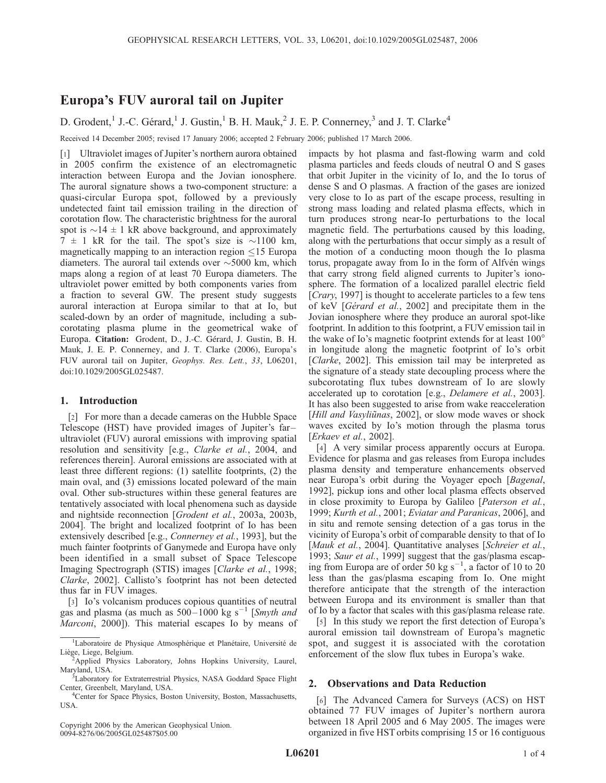# Europa's FUV auroral tail on Jupiter

# D. Grodent,<sup>1</sup> J.-C. Gérard,<sup>1</sup> J. Gustin,<sup>1</sup> B. H. Mauk,<sup>2</sup> J. E. P. Connerney,<sup>3</sup> and J. T. Clarke<sup>4</sup>

Received 14 December 2005; revised 17 January 2006; accepted 2 February 2006; published 17 March 2006.

[1] Ultraviolet images of Jupiter's northern aurora obtained in 2005 confirm the existence of an electromagnetic interaction between Europa and the Jovian ionosphere. The auroral signature shows a two-component structure: a quasi-circular Europa spot, followed by a previously undetected faint tail emission trailing in the direction of corotation flow. The characteristic brightness for the auroral spot is  $\sim$ 14  $\pm$  1 kR above background, and approximately  $7 \pm 1$  kR for the tail. The spot's size is  $\sim$ 1100 km, magnetically mapping to an interaction region  $\leq$ 15 Europa diameters. The auroral tail extends over  $\sim$  5000 km, which maps along a region of at least 70 Europa diameters. The ultraviolet power emitted by both components varies from a fraction to several GW. The present study suggests auroral interaction at Europa similar to that at Io, but scaled-down by an order of magnitude, including a subcorotating plasma plume in the geometrical wake of Europa. Citation: Grodent, D., J.-C. Gérard, J. Gustin, B. H. Mauk, J. E. P. Connerney, and J. T. Clarke (2006), Europa's FUV auroral tail on Jupiter, Geophys. Res. Lett., 33, L06201, doi:10.1029/2005GL025487.

### 1. Introduction

[2] For more than a decade cameras on the Hubble Space Telescope (HST) have provided images of Jupiter's far – ultraviolet (FUV) auroral emissions with improving spatial resolution and sensitivity [e.g., Clarke et al., 2004, and references therein]. Auroral emissions are associated with at least three different regions: (1) satellite footprints, (2) the main oval, and (3) emissions located poleward of the main oval. Other sub-structures within these general features are tentatively associated with local phenomena such as dayside and nightside reconnection [Grodent et al., 2003a, 2003b, 2004]. The bright and localized footprint of Io has been extensively described [e.g., *Connerney et al.*, 1993], but the much fainter footprints of Ganymede and Europa have only been identified in a small subset of Space Telescope Imaging Spectrograph (STIS) images [Clarke et al., 1998; Clarke, 2002]. Callisto's footprint has not been detected thus far in FUV images.

[3] Io's volcanism produces copious quantities of neutral gas and plasma (as much as  $500-1000$  kg s<sup>-1</sup> [Smyth and *Marconi*, 2000]). This material escapes Io by means of

Copyright 2006 by the American Geophysical Union. 0094-8276/06/2005GL025487\$05.00

impacts by hot plasma and fast-flowing warm and cold plasma particles and feeds clouds of neutral O and S gases that orbit Jupiter in the vicinity of Io, and the Io torus of dense S and O plasmas. A fraction of the gases are ionized very close to Io as part of the escape process, resulting in strong mass loading and related plasma effects, which in turn produces strong near-Io perturbations to the local magnetic field. The perturbations caused by this loading, along with the perturbations that occur simply as a result of the motion of a conducting moon though the Io plasma torus, propagate away from Io in the form of Alfvén wings that carry strong field aligned currents to Jupiter's ionosphere. The formation of a localized parallel electric field [*Crary*, 1997] is thought to accelerate particles to a few tens of keV [Gérard et al., 2002] and precipitate them in the Jovian ionosphere where they produce an auroral spot-like footprint. In addition to this footprint, a FUV emission tail in the wake of Io's magnetic footprint extends for at least  $100^{\circ}$ in longitude along the magnetic footprint of Io's orbit [Clarke, 2002]. This emission tail may be interpreted as the signature of a steady state decoupling process where the subcorotating flux tubes downstream of Io are slowly accelerated up to corotation [e.g., Delamere et al., 2003]. It has also been suggested to arise from wake reacceleration [Hill and Vasyliūnas, 2002], or slow mode waves or shock waves excited by Io's motion through the plasma torus [Erkaev et al., 2002].

[4] A very similar process apparently occurs at Europa. Evidence for plasma and gas releases from Europa includes plasma density and temperature enhancements observed near Europa's orbit during the Voyager epoch [Bagenal, 1992], pickup ions and other local plasma effects observed in close proximity to Europa by Galileo [Paterson et al., 1999; Kurth et al., 2001; Eviatar and Paranicas, 2006], and in situ and remote sensing detection of a gas torus in the vicinity of Europa's orbit of comparable density to that of Io [Mauk et al., 2004]. Quantitative analyses [Schreier et al., 1993; Saur et al., 1999] suggest that the gas/plasma escaping from Europa are of order 50 kg  $s^{-1}$ , a factor of 10 to 20 less than the gas/plasma escaping from Io. One might therefore anticipate that the strength of the interaction between Europa and its environment is smaller than that of Io by a factor that scales with this gas/plasma release rate.

[5] In this study we report the first detection of Europa's auroral emission tail downstream of Europa's magnetic spot, and suggest it is associated with the corotation enforcement of the slow flux tubes in Europa's wake.

## 2. Observations and Data Reduction

[6] The Advanced Camera for Surveys (ACS) on HST obtained 77 FUV images of Jupiter's northern aurora between 18 April 2005 and 6 May 2005. The images were organized in five HST orbits comprising 15 or 16 contiguous

<sup>&</sup>lt;sup>1</sup>Laboratoire de Physique Atmosphérique et Planétaire, Université de Liège, Liege, Belgium.

<sup>&</sup>lt;sup>2</sup>Applied Physics Laboratory, Johns Hopkins University, Laurel, Maryland, USA.

<sup>&</sup>lt;sup>3</sup>Laboratory for Extraterrestrial Physics, NASA Goddard Space Flight Center, Greenbelt, Maryland, USA. <sup>4</sup>

<sup>&</sup>lt;sup>4</sup>Center for Space Physics, Boston University, Boston, Massachusetts, USA.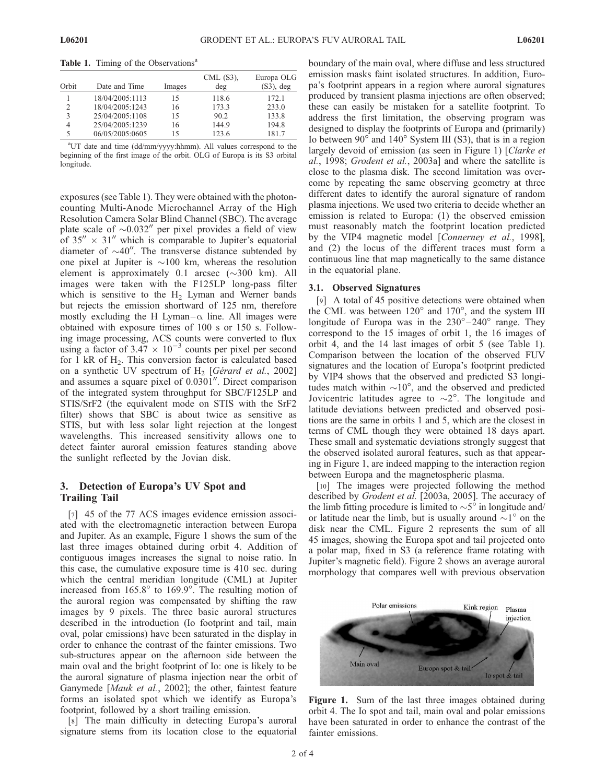Table 1. Timing of the Observations<sup>a</sup>

| Orbit | Date and Time   | Images | $CML$ (S3),<br>deg | Europa OLG<br>$(S3)$ , deg |
|-------|-----------------|--------|--------------------|----------------------------|
|       | 18/04/2005:1113 | 15     | 118.6              | 172.1                      |
| 2     | 18/04/2005:1243 | 16     | 173.3              | 233.0                      |
| 3     | 25/04/2005:1108 | 15     | 90.2               | 133.8                      |
| 4     | 25/04/2005:1239 | 16     | 144.9              | 194.8                      |
| 5     | 06/05/2005:0605 | 15     | 123.6              | 181.7                      |

<sup>a</sup>UT date and time (dd/mm/yyyy:hhmm). All values correspond to the beginning of the first image of the orbit. OLG of Europa is its S3 orbital longitude.

exposures (see Table 1). They were obtained with the photoncounting Multi-Anode Microchannel Array of the High Resolution Camera Solar Blind Channel (SBC). The average plate scale of  $\sim 0.032''$  per pixel provides a field of view of 35 $'' \times 31''$  which is comparable to Jupiter's equatorial diameter of  $\sim 40$ ". The transverse distance subtended by one pixel at Jupiter is  $\sim$ 100 km, whereas the resolution element is approximately 0.1 arcsec  $(\sim 300 \text{ km})$ . All images were taken with the F125LP long-pass filter which is sensitive to the  $H<sub>2</sub>$  Lyman and Werner bands but rejects the emission shortward of 125 nm, therefore mostly excluding the H Lyman– $\alpha$  line. All images were obtained with exposure times of 100 s or 150 s. Following image processing, ACS counts were converted to flux using a factor of  $3.47 \times 10^{-3}$  counts per pixel per second for 1 kR of  $H<sub>2</sub>$ . This conversion factor is calculated based on a synthetic UV spectrum of  $H_2$  [Gérard et al., 2002] and assumes a square pixel of  $0.0301$ <sup>"</sup>. Direct comparison of the integrated system throughput for SBC/F125LP and STIS/SrF2 (the equivalent mode on STIS with the SrF2 filter) shows that SBC is about twice as sensitive as STIS, but with less solar light rejection at the longest wavelengths. This increased sensitivity allows one to detect fainter auroral emission features standing above the sunlight reflected by the Jovian disk.

## 3. Detection of Europa's UV Spot and Trailing Tail

[7] 45 of the 77 ACS images evidence emission associated with the electromagnetic interaction between Europa and Jupiter. As an example, Figure 1 shows the sum of the last three images obtained during orbit 4. Addition of contiguous images increases the signal to noise ratio. In this case, the cumulative exposure time is 410 sec. during which the central meridian longitude (CML) at Jupiter increased from  $165.8^{\circ}$  to  $169.9^{\circ}$ . The resulting motion of the auroral region was compensated by shifting the raw images by 9 pixels. The three basic auroral structures described in the introduction (Io footprint and tail, main oval, polar emissions) have been saturated in the display in order to enhance the contrast of the fainter emissions. Two sub-structures appear on the afternoon side between the main oval and the bright footprint of Io: one is likely to be the auroral signature of plasma injection near the orbit of Ganymede [*Mauk et al.*, 2002]; the other, faintest feature forms an isolated spot which we identify as Europa's footprint, followed by a short trailing emission.

[8] The main difficulty in detecting Europa's auroral signature stems from its location close to the equatorial boundary of the main oval, where diffuse and less structured emission masks faint isolated structures. In addition, Europa's footprint appears in a region where auroral signatures produced by transient plasma injections are often observed; these can easily be mistaken for a satellite footprint. To address the first limitation, the observing program was designed to display the footprints of Europa and (primarily) Io between  $90^\circ$  and  $140^\circ$  System III (S3), that is in a region largely devoid of emission (as seen in Figure 1) [Clarke et al., 1998; Grodent et al., 2003a] and where the satellite is close to the plasma disk. The second limitation was overcome by repeating the same observing geometry at three different dates to identify the auroral signature of random plasma injections. We used two criteria to decide whether an emission is related to Europa: (1) the observed emission must reasonably match the footprint location predicted by the VIP4 magnetic model [Connerney et al., 1998], and (2) the locus of the different traces must form a continuous line that map magnetically to the same distance in the equatorial plane.

### 3.1. Observed Signatures

[9] A total of 45 positive detections were obtained when the CML was between  $120^{\circ}$  and  $170^{\circ}$ , and the system III longitude of Europa was in the  $230^\circ - 240^\circ$  range. They correspond to the 15 images of orbit 1, the 16 images of orbit 4, and the 14 last images of orbit 5 (see Table 1). Comparison between the location of the observed FUV signatures and the location of Europa's footprint predicted by VIP4 shows that the observed and predicted S3 longitudes match within  $\sim 10^{\circ}$ , and the observed and predicted Jovicentric latitudes agree to  $\sim 2^{\circ}$ . The longitude and latitude deviations between predicted and observed positions are the same in orbits 1 and 5, which are the closest in terms of CML though they were obtained 18 days apart. These small and systematic deviations strongly suggest that the observed isolated auroral features, such as that appearing in Figure 1, are indeed mapping to the interaction region between Europa and the magnetospheric plasma.

[10] The images were projected following the method described by Grodent et al. [2003a, 2005]. The accuracy of the limb fitting procedure is limited to  $\sim 5^\circ$  in longitude and/ or latitude near the limb, but is usually around  $\sim l^{\circ}$  on the disk near the CML. Figure 2 represents the sum of all 45 images, showing the Europa spot and tail projected onto a polar map, fixed in S3 (a reference frame rotating with Jupiter's magnetic field). Figure 2 shows an average auroral morphology that compares well with previous observation



Figure 1. Sum of the last three images obtained during orbit 4. The Io spot and tail, main oval and polar emissions have been saturated in order to enhance the contrast of the fainter emissions.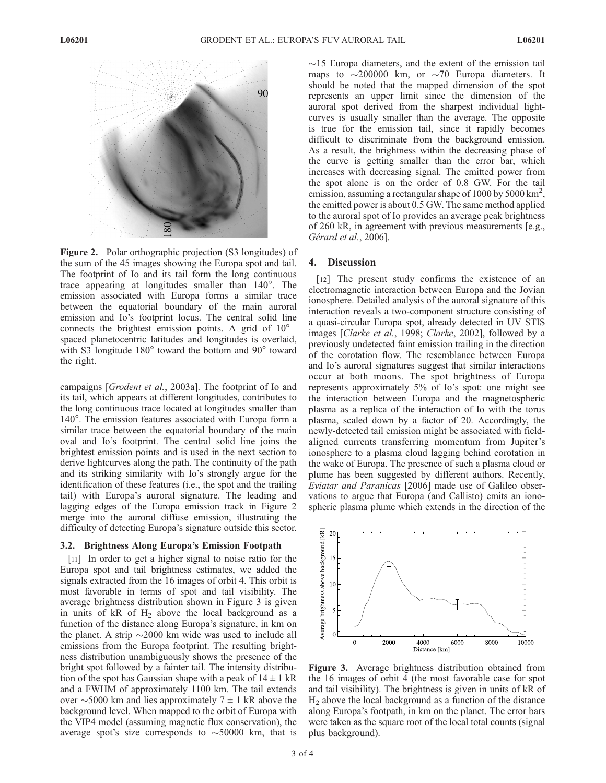

Figure 2. Polar orthographic projection (S3 longitudes) of the sum of the 45 images showing the Europa spot and tail. The footprint of Io and its tail form the long continuous trace appearing at longitudes smaller than  $140^\circ$ . The emission associated with Europa forms a similar trace between the equatorial boundary of the main auroral emission and Io's footprint locus. The central solid line connects the brightest emission points. A grid of  $10^{\circ}$ spaced planetocentric latitudes and longitudes is overlaid, with S3 longitude  $180^\circ$  toward the bottom and  $90^\circ$  toward the right.

campaigns [Grodent et al., 2003a]. The footprint of Io and its tail, which appears at different longitudes, contributes to the long continuous trace located at longitudes smaller than 140<sup>°</sup>. The emission features associated with Europa form a similar trace between the equatorial boundary of the main oval and Io's footprint. The central solid line joins the brightest emission points and is used in the next section to derive lightcurves along the path. The continuity of the path and its striking similarity with Io's strongly argue for the identification of these features (i.e., the spot and the trailing tail) with Europa's auroral signature. The leading and lagging edges of the Europa emission track in Figure 2 merge into the auroral diffuse emission, illustrating the difficulty of detecting Europa's signature outside this sector.

### 3.2. Brightness Along Europa's Emission Footpath

[11] In order to get a higher signal to noise ratio for the Europa spot and tail brightness estimates, we added the signals extracted from the 16 images of orbit 4. This orbit is most favorable in terms of spot and tail visibility. The average brightness distribution shown in Figure 3 is given in units of  $kR$  of  $H_2$  above the local background as a function of the distance along Europa's signature, in km on the planet. A strip  $\sim$  2000 km wide was used to include all emissions from the Europa footprint. The resulting brightness distribution unambiguously shows the presence of the bright spot followed by a fainter tail. The intensity distribution of the spot has Gaussian shape with a peak of  $14 \pm 1$  kR and a FWHM of approximately 1100 km. The tail extends over  $\sim$  5000 km and lies approximately 7  $\pm$  1 kR above the background level. When mapped to the orbit of Europa with the VIP4 model (assuming magnetic flux conservation), the average spot's size corresponds to  $\sim$  50000 km, that is  $\sim$ 15 Europa diameters, and the extent of the emission tail maps to  $\sim$ 200000 km, or  $\sim$ 70 Europa diameters. It should be noted that the mapped dimension of the spot represents an upper limit since the dimension of the auroral spot derived from the sharpest individual lightcurves is usually smaller than the average. The opposite is true for the emission tail, since it rapidly becomes difficult to discriminate from the background emission. As a result, the brightness within the decreasing phase of the curve is getting smaller than the error bar, which increases with decreasing signal. The emitted power from the spot alone is on the order of 0.8 GW. For the tail emission, assuming a rectangular shape of 1000 by 5000 km<sup>2</sup>, the emitted power is about 0.5 GW. The same method applied to the auroral spot of Io provides an average peak brightness of 260 kR, in agreement with previous measurements [e.g., Gérard et al., 2006].

### 4. Discussion

[12] The present study confirms the existence of an electromagnetic interaction between Europa and the Jovian ionosphere. Detailed analysis of the auroral signature of this interaction reveals a two-component structure consisting of a quasi-circular Europa spot, already detected in UV STIS images [Clarke et al., 1998; Clarke, 2002], followed by a previously undetected faint emission trailing in the direction of the corotation flow. The resemblance between Europa and Io's auroral signatures suggest that similar interactions occur at both moons. The spot brightness of Europa represents approximately 5% of Io's spot: one might see the interaction between Europa and the magnetospheric plasma as a replica of the interaction of Io with the torus plasma, scaled down by a factor of 20. Accordingly, the newly-detected tail emission might be associated with fieldaligned currents transferring momentum from Jupiter's ionosphere to a plasma cloud lagging behind corotation in the wake of Europa. The presence of such a plasma cloud or plume has been suggested by different authors. Recently, Eviatar and Paranicas [2006] made use of Galileo observations to argue that Europa (and Callisto) emits an ionospheric plasma plume which extends in the direction of the



Figure 3. Average brightness distribution obtained from the 16 images of orbit 4 (the most favorable case for spot and tail visibility). The brightness is given in units of kR of  $H<sub>2</sub>$  above the local background as a function of the distance along Europa's footpath, in km on the planet. The error bars were taken as the square root of the local total counts (signal plus background).